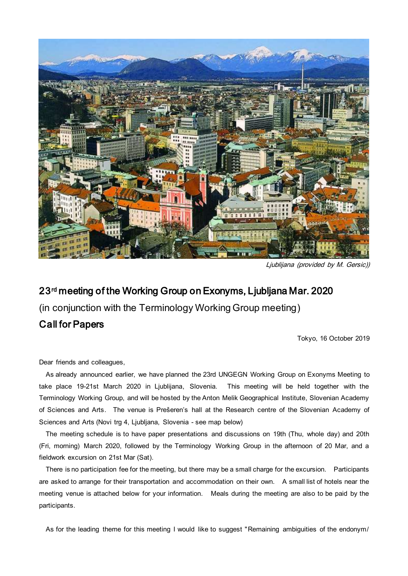

Ljublijana (provided by M. Gersic))

# 23rd meeting of the Working Group on Exonyms, Ljubljana Mar. 2020

(in conjunction with the Terminology Working Group meeting)

## Call for Papers

Tokyo, 16 October 2019

Dear friends and colleagues,

 As already announced earlier, we have planned the 23rd UNGEGN Working Group on Exonyms Meeting to take place 19-21st March 2020 in Ljublijana, Slovenia. This meeting will be held together with the Terminology Working Group, and will be hosted by the Anton Melik Geographical Institute, Slovenian Academy of Sciences and Arts. The venue is Prešeren's hall at the Research centre of the Slovenian Academy of Sciences and Arts (Novi trg 4, Ljubljana, Slovenia - see map below)

 The meeting schedule is to have paper presentations and discussions on 19th (Thu, whole day) and 20th (Fri, morning) March 2020, followed by the Terminology Working Group in the afternoon of 20 Mar, and a fieldwork excursion on 21st Mar (Sat).

 There is no participation fee for the meeting, but there may be a small charge for the excursion. Participants are asked to arrange for their transportation and accommodation on their own. A small list of hotels near the meeting venue is attached below for your information. Meals during the meeting are also to be paid by the participants.

As for the leading theme for this meeting I would like to suggest "Remaining ambiguities of the endonym/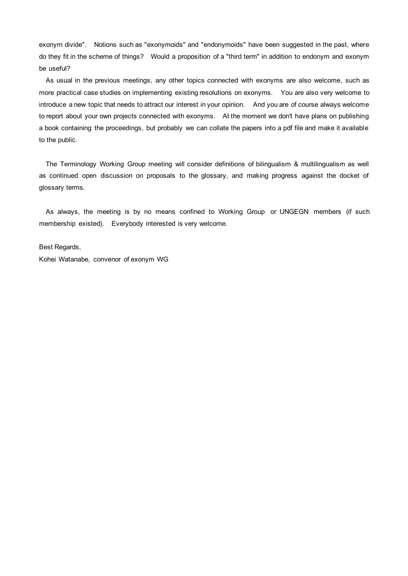exonym divide". Notions such as "exonymoids" and "endonymoids" have been suggested in the past, where do they fit in the scheme of things? Would a proposition of a "third term" in addition to endonym and exonym be useful?

 As usual in the previous meetings, any other topics connected with exonyms are also welcome, such as more practical case studies on implementing existing resolutions on exonyms. You are also very welcome to introduce a new topic that needs to attract our interest in your opinion. And you are of course always welcome to report about your own projects connected with exonyms. At the moment we don't have plans on publishing a book containing the proceedings, but probably we can collate the papers into a pdf file and make it available to the public.

 The Terminology Working Group meeting will consider definitions of bilingualism & multilingualism as well as continued open discussion on proposals to the glossary, and making progress against the docket of glossary terms.

 As always, the meeting is by no means confined to Working Group or UNGEGN members (if such membership existed). Everybody interested is very welcome.

Best Regards,

Kohei Watanabe, convenor of exonym WG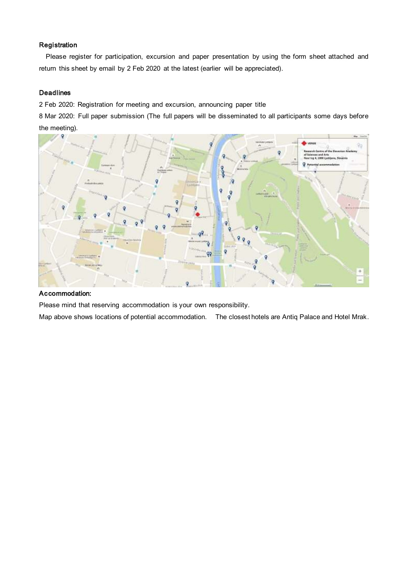#### Registration

 Please register for participation, excursion and paper presentation by using the form sheet attached and return this sheet by email by 2 Feb 2020 at the latest (earlier will be appreciated).

#### **Deadlines**

2 Feb 2020: Registration for meeting and excursion, announcing paper title

8 Mar 2020: Full paper submission (The full papers will be disseminated to all participants some days before the meeting).



#### Accommodation:

Please mind that reserving accommodation is your own responsibility.

Map above shows locations of potential accommodation. The closest hotels are Antiq Palace and Hotel Mrak.